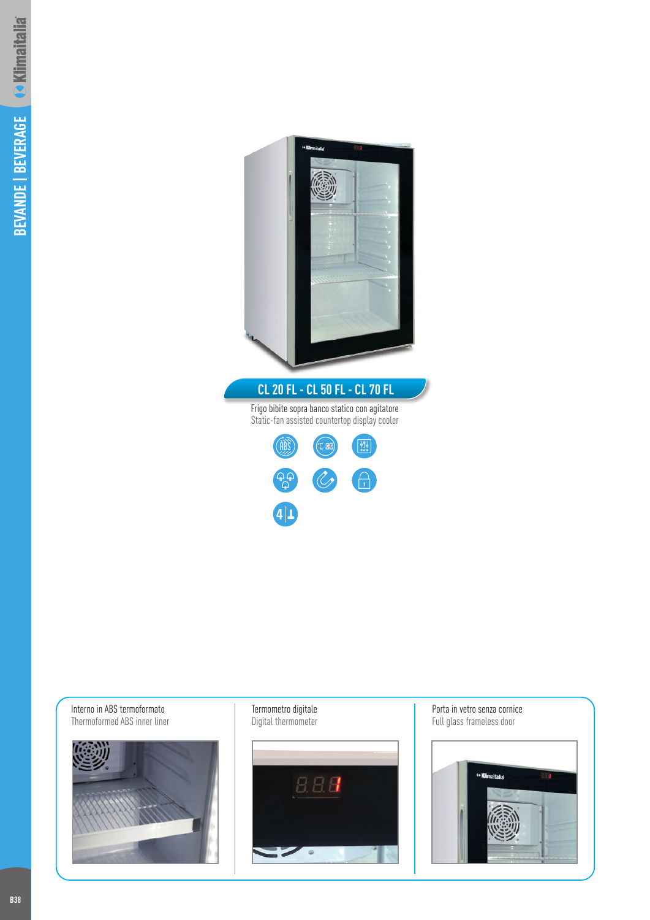



Porta in vetro senza cornice Full glass frameless door



**B38**